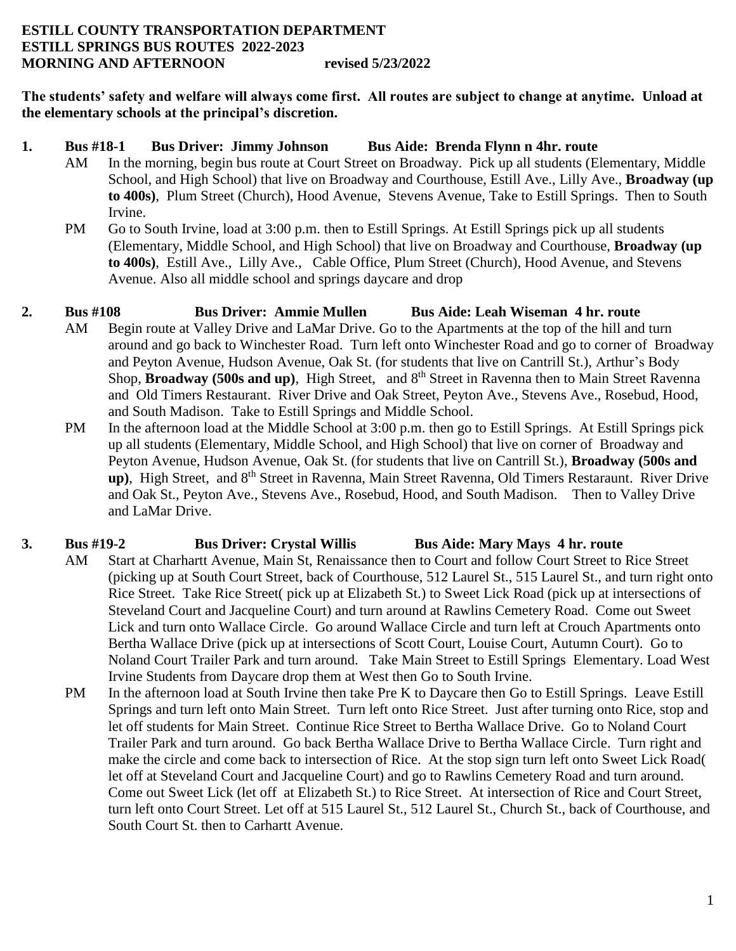#### **ESTILL COUNTY TRANSPORTATION DEPARTMENT ESTILL SPRINGS BUS ROUTES 2022-2023 MORNING AND AFTERNOON revised 5/23/2022**

**The students' safety and welfare will always come first. All routes are subject to change at anytime. Unload at the elementary schools at the principal's discretion.**

#### **1. Bus #18-1 Bus Driver: Jimmy Johnson Bus Aide: Brenda Flynn n 4hr. route**

- AM In the morning, begin bus route at Court Street on Broadway. Pick up all students (Elementary, Middle School, and High School) that live on Broadway and Courthouse, Estill Ave., Lilly Ave., **Broadway (up to 400s)**, Plum Street (Church), Hood Avenue, Stevens Avenue, Take to Estill Springs. Then to South Irvine.
- PM Go to South Irvine, load at 3:00 p.m. then to Estill Springs. At Estill Springs pick up all students (Elementary, Middle School, and High School) that live on Broadway and Courthouse, **Broadway (up to 400s)**, Estill Ave., Lilly Ave., Cable Office, Plum Street (Church), Hood Avenue, and Stevens Avenue. Also all middle school and springs daycare and drop

## **2. Bus #108 Bus Driver: Ammie Mullen Bus Aide: Leah Wiseman 4 hr. route**

- AM Begin route at Valley Drive and LaMar Drive. Go to the Apartments at the top of the hill and turn around and go back to Winchester Road. Turn left onto Winchester Road and go to corner of Broadway and Peyton Avenue, Hudson Avenue, Oak St. (for students that live on Cantrill St.), Arthur's Body Shop, **Broadway (500s and up)**, High Street, and 8<sup>th</sup> Street in Ravenna then to Main Street Ravenna and Old Timers Restaurant. River Drive and Oak Street, Peyton Ave., Stevens Ave., Rosebud, Hood, and South Madison. Take to Estill Springs and Middle School.
- PM In the afternoon load at the Middle School at 3:00 p.m. then go to Estill Springs. At Estill Springs pick up all students (Elementary, Middle School, and High School) that live on corner of Broadway and Peyton Avenue, Hudson Avenue, Oak St. (for students that live on Cantrill St.), **Broadway (500s and up**), High Street, and 8<sup>th</sup> Street in Ravenna, Main Street Ravenna, Old Timers Restaraunt. River Drive and Oak St., Peyton Ave., Stevens Ave., Rosebud, Hood, and South Madison. Then to Valley Drive and LaMar Drive.

### **3. Bus #19-2 Bus Driver: Crystal Willis Bus Aide: Mary Mays 4 hr. route**

- AM Start at Charhartt Avenue, Main St, Renaissance then to Court and follow Court Street to Rice Street (picking up at South Court Street, back of Courthouse, 512 Laurel St., 515 Laurel St., and turn right onto Rice Street. Take Rice Street( pick up at Elizabeth St.) to Sweet Lick Road (pick up at intersections of Steveland Court and Jacqueline Court) and turn around at Rawlins Cemetery Road. Come out Sweet Lick and turn onto Wallace Circle. Go around Wallace Circle and turn left at Crouch Apartments onto Bertha Wallace Drive (pick up at intersections of Scott Court, Louise Court, Autumn Court). Go to Noland Court Trailer Park and turn around. Take Main Street to Estill Springs Elementary. Load West Irvine Students from Daycare drop them at West then Go to South Irvine.
- PM In the afternoon load at South Irvine then take Pre K to Daycare then Go to Estill Springs. Leave Estill Springs and turn left onto Main Street. Turn left onto Rice Street. Just after turning onto Rice, stop and let off students for Main Street. Continue Rice Street to Bertha Wallace Drive. Go to Noland Court Trailer Park and turn around. Go back Bertha Wallace Drive to Bertha Wallace Circle. Turn right and make the circle and come back to intersection of Rice. At the stop sign turn left onto Sweet Lick Road( let off at Steveland Court and Jacqueline Court) and go to Rawlins Cemetery Road and turn around. Come out Sweet Lick (let off at Elizabeth St.) to Rice Street. At intersection of Rice and Court Street, turn left onto Court Street. Let off at 515 Laurel St., 512 Laurel St., Church St., back of Courthouse, and South Court St. then to Carhartt Avenue.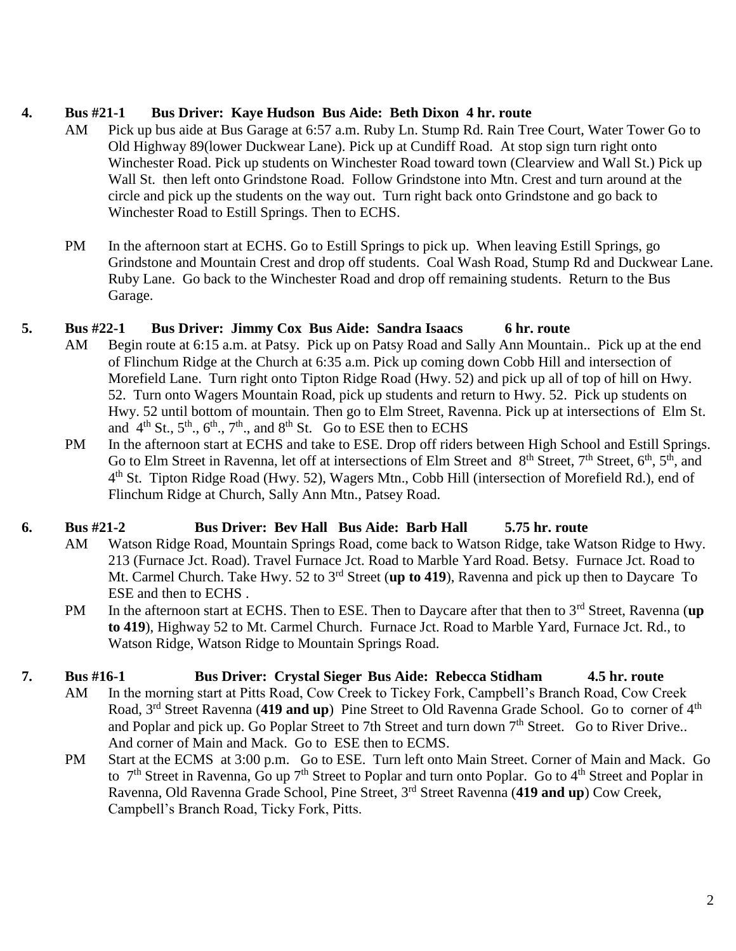### **4. Bus #21-1 Bus Driver: Kaye Hudson Bus Aide: Beth Dixon 4 hr. route**

- AM Pick up bus aide at Bus Garage at 6:57 a.m. Ruby Ln. Stump Rd. Rain Tree Court, Water Tower Go to Old Highway 89(lower Duckwear Lane). Pick up at Cundiff Road. At stop sign turn right onto Winchester Road. Pick up students on Winchester Road toward town (Clearview and Wall St.) Pick up Wall St. then left onto Grindstone Road. Follow Grindstone into Mtn. Crest and turn around at the circle and pick up the students on the way out. Turn right back onto Grindstone and go back to Winchester Road to Estill Springs. Then to ECHS.
- PM In the afternoon start at ECHS. Go to Estill Springs to pick up. When leaving Estill Springs, go Grindstone and Mountain Crest and drop off students. Coal Wash Road, Stump Rd and Duckwear Lane. Ruby Lane. Go back to the Winchester Road and drop off remaining students. Return to the Bus Garage.

## **5. Bus #22-1 Bus Driver: Jimmy Cox Bus Aide: Sandra Isaacs 6 hr. route**

- AM Begin route at 6:15 a.m. at Patsy. Pick up on Patsy Road and Sally Ann Mountain.. Pick up at the end of Flinchum Ridge at the Church at 6:35 a.m. Pick up coming down Cobb Hill and intersection of Morefield Lane. Turn right onto Tipton Ridge Road (Hwy. 52) and pick up all of top of hill on Hwy. 52. Turn onto Wagers Mountain Road, pick up students and return to Hwy. 52. Pick up students on Hwy. 52 until bottom of mountain. Then go to Elm Street, Ravenna. Pick up at intersections of Elm St. and  $4<sup>th</sup>$  St.,  $5<sup>th</sup>$ ,  $6<sup>th</sup>$ ,  $7<sup>th</sup>$ , and  $8<sup>th</sup>$  St. Go to ESE then to ECHS
- PM In the afternoon start at ECHS and take to ESE. Drop off riders between High School and Estill Springs. Go to Elm Street in Ravenna, let off at intersections of Elm Street and 8<sup>th</sup> Street, 7<sup>th</sup> Street, 6<sup>th</sup>, 5<sup>th</sup>, and 4<sup>th</sup> St. Tipton Ridge Road (Hwy. 52), Wagers Mtn., Cobb Hill (intersection of Morefield Rd.), end of Flinchum Ridge at Church, Sally Ann Mtn., Patsey Road.

# **6. Bus #21-2 Bus Driver: Bev Hall Bus Aide: Barb Hall 5.75 hr. route**

- AM Watson Ridge Road, Mountain Springs Road, come back to Watson Ridge, take Watson Ridge to Hwy. 213 (Furnace Jct. Road). Travel Furnace Jct. Road to Marble Yard Road. Betsy. Furnace Jct. Road to Mt. Carmel Church. Take Hwy. 52 to 3<sup>rd</sup> Street (**up to 419**), Ravenna and pick up then to Daycare To ESE and then to ECHS .
- PM In the afternoon start at ECHS. Then to ESE. Then to Daycare after that then to 3rd Street, Ravenna (**up to 419**), Highway 52 to Mt. Carmel Church. Furnace Jct. Road to Marble Yard, Furnace Jct. Rd., to Watson Ridge, Watson Ridge to Mountain Springs Road.

# **7. Bus #16-1 Bus Driver: Crystal Sieger Bus Aide: Rebecca Stidham 4.5 hr. route**

- AM In the morning start at Pitts Road, Cow Creek to Tickey Fork, Campbell's Branch Road, Cow Creek Road, 3<sup>rd</sup> Street Ravenna (419 and up) Pine Street to Old Ravenna Grade School. Go to corner of 4<sup>th</sup> and Poplar and pick up. Go Poplar Street to 7th Street and turn down 7<sup>th</sup> Street. Go to River Drive.. And corner of Main and Mack. Go to ESE then to ECMS.
- PM Start at the ECMS at 3:00 p.m. Go to ESE. Turn left onto Main Street. Corner of Main and Mack. Go to  $7<sup>th</sup>$  Street in Ravenna, Go up  $7<sup>th</sup>$  Street to Poplar and turn onto Poplar. Go to  $4<sup>th</sup>$  Street and Poplar in Ravenna, Old Ravenna Grade School, Pine Street, 3rd Street Ravenna (**419 and up**) Cow Creek, Campbell's Branch Road, Ticky Fork, Pitts.